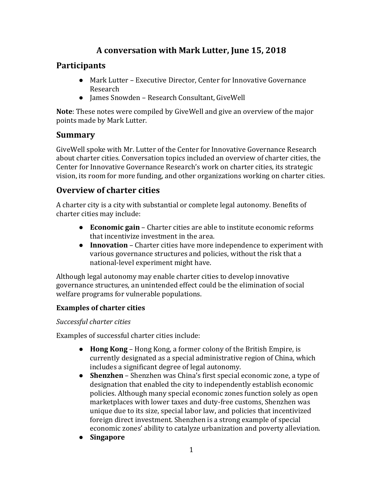# **A conversation with Mark Lutter, June 15, 2018**

## **Participants**

- Mark Lutter Executive Director, Center for Innovative Governance Research
- James Snowden Research Consultant, GiveWell

**Note**: These notes were compiled by GiveWell and give an overview of the major points made by Mark Lutter.

## **Summary**

GiveWell spoke with Mr. Lutter of the Center for Innovative Governance Research about charter cities. Conversation topics included an overview of charter cities, the Center for Innovative Governance Research's work on charter cities, its strategic vision, its room for more funding, and other organizations working on charter cities.

## **Overview of charter cities**

A charter city is a city with substantial or complete legal autonomy. Benefits of charter cities may include:

- **Economic gain** Charter cities are able to institute economic reforms that incentivize investment in the area.
- **Innovation** Charter cities have more independence to experiment with various governance structures and policies, without the risk that a national-level experiment might have.

Although legal autonomy may enable charter cities to develop innovative governance structures, an unintended effect could be the elimination of social welfare programs for vulnerable populations.

### **Examples of charter cities**

*Successful charter cities*

Examples of successful charter cities include:

- **Hong Kong** Hong Kong, a former colony of the British Empire, is currently designated as a special administrative region of China, which includes a significant degree of legal autonomy.
- **Shenzhen** Shenzhen was China's first special economic zone, a type of designation that enabled the city to independently establish economic policies. Although many special economic zones function solely as open marketplaces with lower taxes and duty-free customs, Shenzhen was unique due to its size, special labor law, and policies that incentivized foreign direct investment. Shenzhen is a strong example of special economic zones' ability to catalyze urbanization and poverty alleviation.
- **Singapore**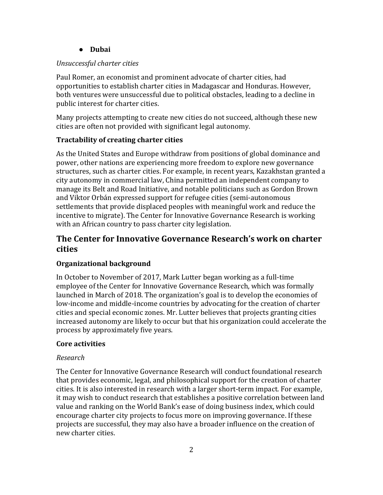#### ● **Dubai**

#### *Unsuccessful charter cities*

Paul Romer, an economist and prominent advocate of charter cities, had opportunities to establish charter cities in Madagascar and Honduras. However, both ventures were unsuccessful due to political obstacles, leading to a decline in public interest for charter cities.

Many projects attempting to create new cities do not succeed, although these new cities are often not provided with significant legal autonomy.

#### **Tractability of creating charter cities**

As the United States and Europe withdraw from positions of global dominance and power, other nations are experiencing more freedom to explore new governance structures, such as charter cities. For example, in recent years, Kazakhstan granted a city autonomy in commercial law, China permitted an independent company to manage its Belt and Road Initiative, and notable politicians such as Gordon Brown and Viktor Orbán expressed support for refugee cities (semi-autonomous settlements that provide displaced peoples with meaningful work and reduce the incentive to migrate). The Center for Innovative Governance Research is working with an African country to pass charter city legislation.

## **The Center for Innovative Governance Research's work on charter cities**

### **Organizational background**

In October to November of 2017, Mark Lutter began working as a full-time employee of the Center for Innovative Governance Research, which was formally launched in March of 2018. The organization's goal is to develop the economies of low-income and middle-income countries by advocating for the creation of charter cities and special economic zones. Mr. Lutter believes that projects granting cities increased autonomy are likely to occur but that his organization could accelerate the process by approximately five years.

#### **Core activities**

#### *Research*

The Center for Innovative Governance Research will conduct foundational research that provides economic, legal, and philosophical support for the creation of charter cities. It is also interested in research with a larger short-term impact. For example, it may wish to conduct research that establishes a positive correlation between land value and ranking on the World Bank's ease of doing business index, which could encourage charter city projects to focus more on improving governance. If these projects are successful, they may also have a broader influence on the creation of new charter cities.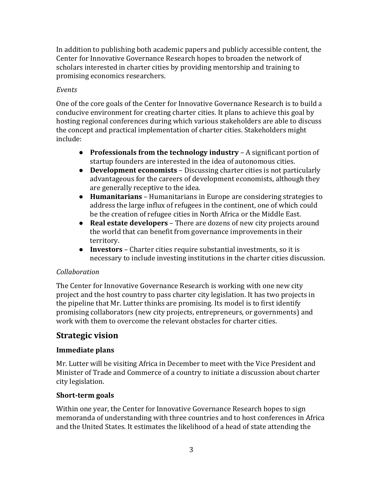In addition to publishing both academic papers and publicly accessible content, the Center for Innovative Governance Research hopes to broaden the network of scholars interested in charter cities by providing mentorship and training to promising economics researchers.

#### *Events*

One of the core goals of the Center for Innovative Governance Research is to build a conducive environment for creating charter cities. It plans to achieve this goal by hosting regional conferences during which various stakeholders are able to discuss the concept and practical implementation of charter cities. Stakeholders might include:

- **Professionals from the technology industry** A significant portion of startup founders are interested in the idea of autonomous cities.
- **Development economists** Discussing charter cities is not particularly advantageous for the careers of development economists, although they are generally receptive to the idea.
- **Humanitarians**  Humanitarians in Europe are considering strategies to address the large influx of refugees in the continent, one of which could be the creation of refugee cities in North Africa or the Middle East.
- **Real estate developers**  There are dozens of new city projects around the world that can benefit from governance improvements in their territory.
- **Investors** Charter cities require substantial investments, so it is necessary to include investing institutions in the charter cities discussion.

#### *Collaboration*

The Center for Innovative Governance Research is working with one new city project and the host country to pass charter city legislation. It has two projects in the pipeline that Mr. Lutter thinks are promising. Its model is to first identify promising collaborators (new city projects, entrepreneurs, or governments) and work with them to overcome the relevant obstacles for charter cities.

### **Strategic vision**

### **Immediate plans**

Mr. Lutter will be visiting Africa in December to meet with the Vice President and Minister of Trade and Commerce of a country to initiate a discussion about charter city legislation.

#### **Short-term goals**

Within one year, the Center for Innovative Governance Research hopes to sign memoranda of understanding with three countries and to host conferences in Africa and the United States. It estimates the likelihood of a head of state attending the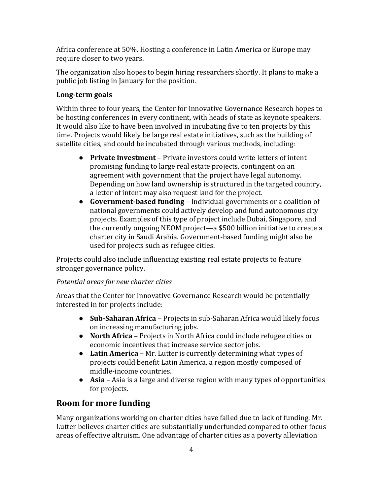Africa conference at 50%. Hosting a conference in Latin America or Europe may require closer to two years.

The organization also hopes to begin hiring researchers shortly. It plans to make a public job listing in January for the position.

### **Long-term goals**

Within three to four years, the Center for Innovative Governance Research hopes to be hosting conferences in every continent, with heads of state as keynote speakers. It would also like to have been involved in incubating five to ten projects by this time. Projects would likely be large real estate initiatives, such as the building of satellite cities, and could be incubated through various methods, including:

- **Private investment** Private investors could write letters of intent promising funding to large real estate projects, contingent on an agreement with government that the project have legal autonomy. Depending on how land ownership is structured in the targeted country, a letter of intent may also request land for the project.
- **Government-based funding** Individual governments or a coalition of national governments could actively develop and fund autonomous city projects. Examples of this type of project include Dubai, Singapore, and the currently ongoing NEOM project—a \$500 billion initiative to create a charter city in Saudi Arabia. Government-based funding might also be used for projects such as refugee cities.

Projects could also include influencing existing real estate projects to feature stronger governance policy.

### *Potential areas for new charter cities*

Areas that the Center for Innovative Governance Research would be potentially interested in for projects include:

- **Sub-Saharan Africa** Projects in sub-Saharan Africa would likely focus on increasing manufacturing jobs.
- **North Africa** Projects in North Africa could include refugee cities or economic incentives that increase service sector jobs.
- **Latin America** Mr. Lutter is currently determining what types of projects could benefit Latin America, a region mostly composed of middle-income countries.
- **Asia** Asia is a large and diverse region with many types of opportunities for projects.

# **Room for more funding**

Many organizations working on charter cities have failed due to lack of funding. Mr. Lutter believes charter cities are substantially underfunded compared to other focus areas of effective altruism. One advantage of charter cities as a poverty alleviation